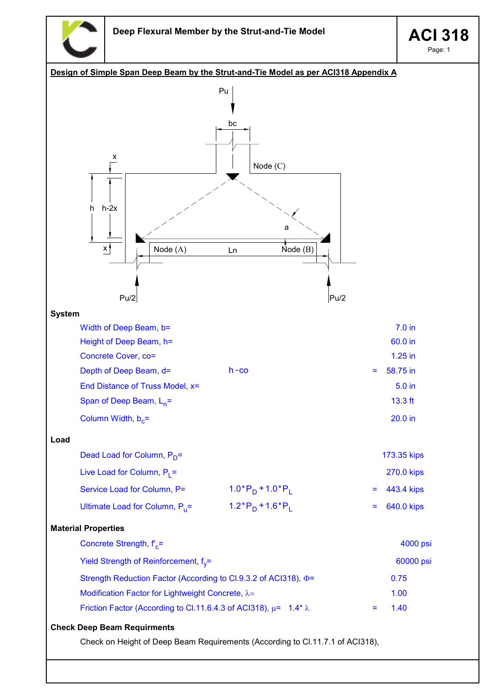

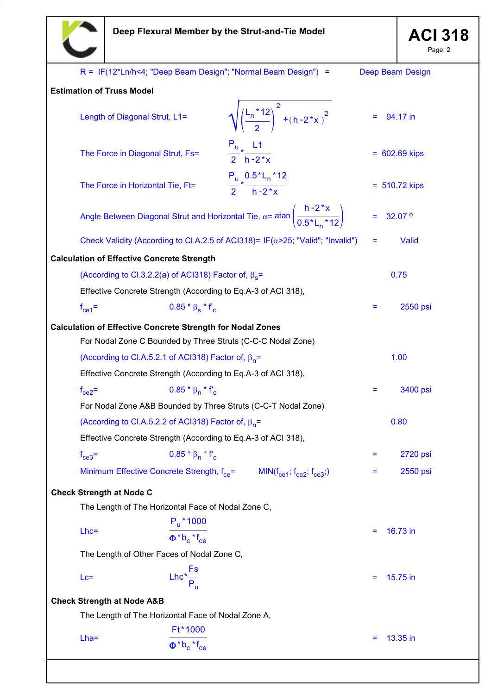

Page: 2

|                                                   |                                                                                                        |                                                            | R = IF(12*Ln/h<4; "Deep Beam Design"; "Normal Beam Design") =                             |   | Deep Beam Design |  |  |  |  |  |
|---------------------------------------------------|--------------------------------------------------------------------------------------------------------|------------------------------------------------------------|-------------------------------------------------------------------------------------------|---|------------------|--|--|--|--|--|
|                                                   | <b>Estimation of Truss Model</b>                                                                       |                                                            |                                                                                           |   |                  |  |  |  |  |  |
|                                                   | Length of Diagonal Strut, L1=                                                                          |                                                            | $\sqrt{\left(\frac{L_n * 12}{2}\right)^2 + (h - 2 * x)^2}$                                |   | 94.17 in         |  |  |  |  |  |
|                                                   | The Force in Diagonal Strut, Fs=                                                                       |                                                            | $\frac{P_u}{2}$ $\star$ $\frac{L1}{h-2\pi}$                                               |   | $= 602.69$ kips  |  |  |  |  |  |
|                                                   | The Force in Horizontal Tie, Ft=                                                                       |                                                            | $\frac{P_u}{2}*\frac{0.5*L_n*12}{h-2*x}$                                                  |   | $= 510.72$ kips  |  |  |  |  |  |
|                                                   | Angle Between Diagonal Strut and Horizontal Tie, $\alpha$ = atan $\left(\frac{h-2*x}{0.5*1*12}\right)$ |                                                            | 32.07 <sup>o</sup>                                                                        |   |                  |  |  |  |  |  |
|                                                   |                                                                                                        |                                                            | Check Validity (According to Cl.A.2.5 of ACl318)= IF( $\alpha$ >25; "Valid"; "Invalid")   | = | Valid            |  |  |  |  |  |
| <b>Calculation of Effective Concrete Strength</b> |                                                                                                        |                                                            |                                                                                           |   |                  |  |  |  |  |  |
|                                                   | (According to Cl.3.2.2(a) of ACl318) Factor of, $\beta_s$ =                                            |                                                            | 0.75                                                                                      |   |                  |  |  |  |  |  |
|                                                   | Effective Concrete Strength (According to Eq.A-3 of ACI 318),                                          |                                                            |                                                                                           |   |                  |  |  |  |  |  |
|                                                   | $f_{ce1}$ =                                                                                            | $0.85 * \beta_s * f_c$                                     |                                                                                           | = | 2550 psi         |  |  |  |  |  |
|                                                   | <b>Calculation of Effective Concrete Strength for Nodal Zones</b>                                      |                                                            |                                                                                           |   |                  |  |  |  |  |  |
|                                                   | For Nodal Zone C Bounded by Three Struts (C-C-C Nodal Zone)                                            |                                                            |                                                                                           |   |                  |  |  |  |  |  |
|                                                   | (According to Cl.A.5.2.1 of ACl318) Factor of, $\beta_n =$                                             |                                                            |                                                                                           |   | 1.00             |  |  |  |  |  |
|                                                   | Effective Concrete Strength (According to Eq.A-3 of ACI 318),                                          |                                                            |                                                                                           |   |                  |  |  |  |  |  |
|                                                   | $f_{ce2}$ =                                                                                            | $0.85 * \beta_n * f_c$                                     |                                                                                           | Ξ | 3400 psi         |  |  |  |  |  |
|                                                   | For Nodal Zone A&B Bounded by Three Struts (C-C-T Nodal Zone)                                          |                                                            |                                                                                           |   |                  |  |  |  |  |  |
|                                                   | (According to Cl.A.5.2.2 of ACl318) Factor of, $\beta_n =$                                             |                                                            | 0.80                                                                                      |   |                  |  |  |  |  |  |
|                                                   | Effective Concrete Strength (According to Eq.A-3 of ACI 318),                                          |                                                            |                                                                                           |   |                  |  |  |  |  |  |
|                                                   | $f_{ce3}$ =                                                                                            | $0.85 * \beta_n * f'_c$                                    |                                                                                           | Ξ | 2720 psi         |  |  |  |  |  |
|                                                   |                                                                                                        |                                                            | Minimum Effective Concrete Strength, $f_{ce} =$ MIN( $f_{ce1}$ ; $f_{ce2}$ ; $f_{ce3}$ ;) | Ξ | 2550 psi         |  |  |  |  |  |
|                                                   | <b>Check Strength at Node C</b>                                                                        |                                                            |                                                                                           |   |                  |  |  |  |  |  |
|                                                   | The Length of The Horizontal Face of Nodal Zone C,                                                     |                                                            |                                                                                           |   |                  |  |  |  |  |  |
|                                                   | $Lhc=$                                                                                                 | $P_{u}$ * 1000<br>$\Phi^*b_c$ <sup>*</sup> f <sub>ce</sub> |                                                                                           |   | 16.73 in         |  |  |  |  |  |
|                                                   | The Length of Other Faces of Nodal Zone C,                                                             |                                                            |                                                                                           |   |                  |  |  |  |  |  |
|                                                   | $Lc =$                                                                                                 | Lhc <sup>*</sup> $\frac{Fs}{P_{\text{II}}}$                |                                                                                           | = | 15.75 in         |  |  |  |  |  |
|                                                   | <b>Check Strength at Node A&amp;B</b>                                                                  |                                                            |                                                                                           |   |                  |  |  |  |  |  |
|                                                   | The Length of The Horizontal Face of Nodal Zone A,                                                     |                                                            |                                                                                           |   |                  |  |  |  |  |  |
|                                                   | $Lha =$                                                                                                | Ft*1000                                                    |                                                                                           | = | 13.35 in         |  |  |  |  |  |
|                                                   |                                                                                                        | $\Phi^*b_c$ *f <sub>ce</sub>                               |                                                                                           |   |                  |  |  |  |  |  |